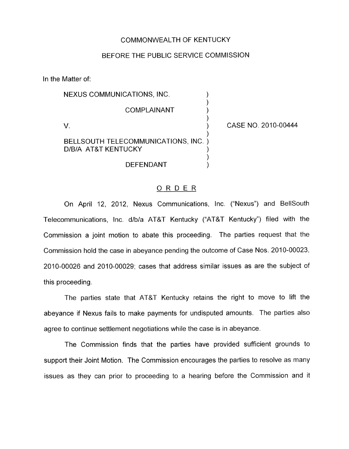## COMMONWEALTH OF KENTUCKY

## BEFORE THE PUBLIC SERVICE COMMISSION

In the Matter of:

| NEXUS COMMUNICATIONS, INC.                                 |                     |
|------------------------------------------------------------|---------------------|
| <b>COMPLAINANT</b>                                         |                     |
|                                                            | CASE NO. 2010-00444 |
| BELLSOUTH TELECOMMUNICATIONS, INC.)<br>D/B/A AT&T KENTUCKY |                     |
| DEFENDANT                                                  |                     |

## ORDER

On April 12, 2012, Nexus Communications, Inc. ("Nexus") and BellSouth Telecommunications, Inc. d/b/a AT&T Kentucky ("AT&T Kentucky") filed with the Commission a joint motion to abate this proceeding. The parties request that the Commission hold the case in abeyance pending the outcome of Case Nos. 2010-00023, 2010-00026 and 2010-00029; cases that address similar issues as are the subject of this proceeding.

The parties state that AT&T Kentucky retains the right to move to lift the abeyance if Nexus fails to make payments for undisputed amounts. The parties also agree to continue settlement negotiations while the case is in abeyance.

The Commission finds that the parties have provided sufficient grounds to support their Joint Motion. The Commission encourages the parties to resolve as many issues as they can prior to proceeding to a hearing before the Commission and it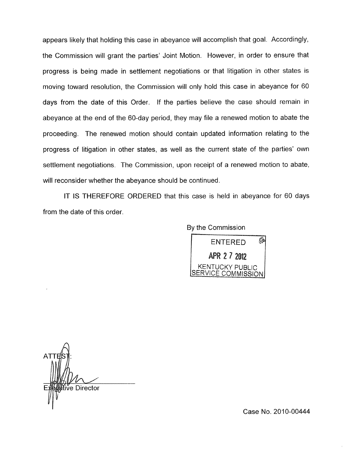appears likely that holding this case in abeyance will accomplish that goal. Accordingly, the Commission will grant the parties' Joint Motion. However, in order to ensure that progress is being made in settlement negotiations or that litigation in other states is moving toward resolution, the Commission will only hold this case in abeyance for BO days from the date of this Order. If the parties believe the case should remain in abeyance at the end of the 60-day period, they may file a renewed motion to abate the proceeding. The renewed motion should contain updated information relating to the progress of litigation in other states, as well as the current state of the parties' own settlement negotiations. The Commission, upon receipt of a renewed motion to abate, will reconsider whether the abeyance should be continued.

IT IS THEREFORE ORDERED that this case is held in abeyance for 60 days from the date of this order

By the Commission



iṽe Director

Case No. 2010-00444